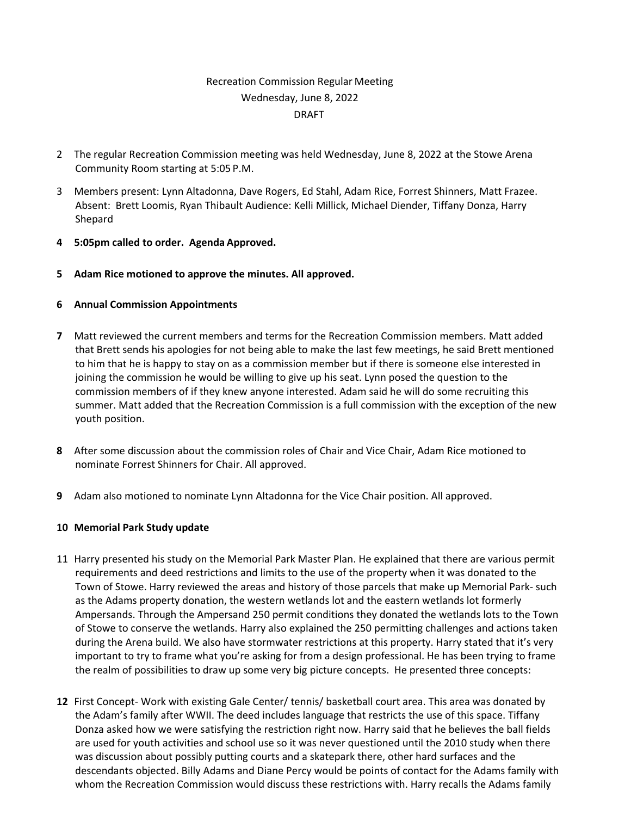# Recreation Commission Regular Meeting Wednesday, June 8, 2022 DRAFT

- 2 The regular Recreation Commission meeting was held Wednesday, June 8, 2022 at the Stowe Arena Community Room starting at 5:05 P.M.
- 3 Members present: Lynn Altadonna, Dave Rogers, Ed Stahl, Adam Rice, Forrest Shinners, Matt Frazee. Absent: Brett Loomis, Ryan Thibault Audience: Kelli Millick, Michael Diender, Tiffany Donza, Harry Shepard
- **4 5:05pm called to order. Agenda Approved.**
- **5 Adam Rice motioned to approve the minutes. All approved.**

### **6 Annual Commission Appointments**

- **7** Matt reviewed the current members and terms for the Recreation Commission members. Matt added that Brett sends his apologies for not being able to make the last few meetings, he said Brett mentioned to him that he is happy to stay on as a commission member but if there is someone else interested in joining the commission he would be willing to give up his seat. Lynn posed the question to the commission members of if they knew anyone interested. Adam said he will do some recruiting this summer. Matt added that the Recreation Commission is a full commission with the exception of the new youth position.
- **8** After some discussion about the commission roles of Chair and Vice Chair, Adam Rice motioned to nominate Forrest Shinners for Chair. All approved.
- **9** Adam also motioned to nominate Lynn Altadonna for the Vice Chair position. All approved.

## **10 Memorial Park Study update**

- 11 Harry presented his study on the Memorial Park Master Plan. He explained that there are various permit requirements and deed restrictions and limits to the use of the property when it was donated to the Town of Stowe. Harry reviewed the areas and history of those parcels that make up Memorial Park- such as the Adams property donation, the western wetlands lot and the eastern wetlands lot formerly Ampersands. Through the Ampersand 250 permit conditions they donated the wetlands lots to the Town of Stowe to conserve the wetlands. Harry also explained the 250 permitting challenges and actions taken during the Arena build. We also have stormwater restrictions at this property. Harry stated that it's very important to try to frame what you're asking for from a design professional. He has been trying to frame the realm of possibilities to draw up some very big picture concepts. He presented three concepts:
- **12** First Concept- Work with existing Gale Center/ tennis/ basketball court area. This area was donated by the Adam's family after WWII. The deed includes language that restricts the use of this space. Tiffany Donza asked how we were satisfying the restriction right now. Harry said that he believes the ball fields are used for youth activities and school use so it was never questioned until the 2010 study when there was discussion about possibly putting courts and a skatepark there, other hard surfaces and the descendants objected. Billy Adams and Diane Percy would be points of contact for the Adams family with whom the Recreation Commission would discuss these restrictions with. Harry recalls the Adams family